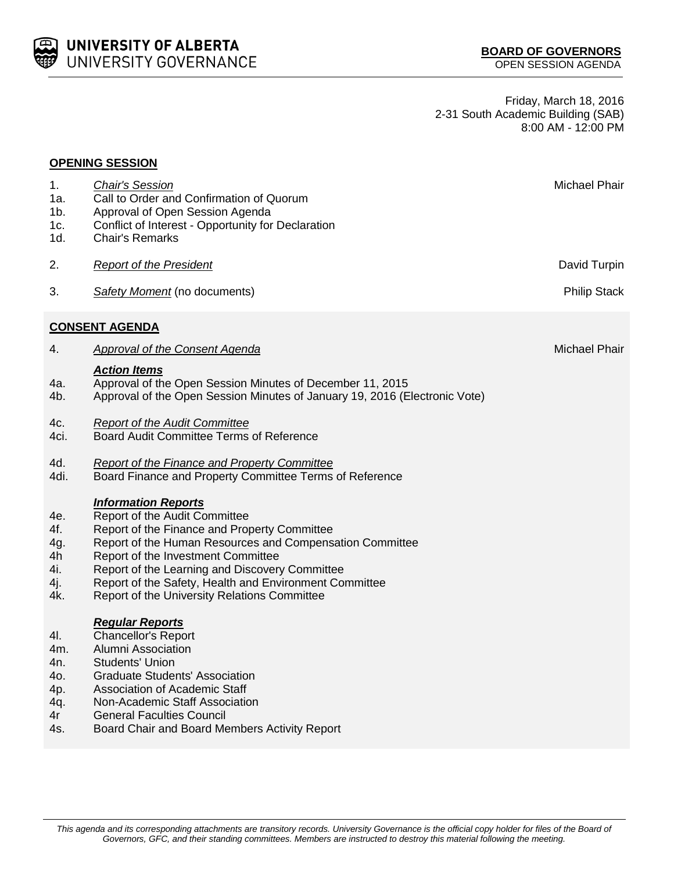

**OPENING SESSION**

Friday, March 18, 2016 2-31 South Academic Building (SAB) 8:00 AM - 12:00 PM

| 1.<br>1a.<br>$1b$ .<br>1c.<br>1d.                   | <b>Chair's Session</b><br>Call to Order and Confirmation of Quorum<br>Approval of Open Session Agenda<br>Conflict of Interest - Opportunity for Declaration<br><b>Chair's Remarks</b>                                                                                                                                                                                     | Michael Phair        |  |  |
|-----------------------------------------------------|---------------------------------------------------------------------------------------------------------------------------------------------------------------------------------------------------------------------------------------------------------------------------------------------------------------------------------------------------------------------------|----------------------|--|--|
| 2.                                                  | <b>Report of the President</b>                                                                                                                                                                                                                                                                                                                                            | David Turpin         |  |  |
| 3.                                                  | Safety Moment (no documents)                                                                                                                                                                                                                                                                                                                                              | <b>Philip Stack</b>  |  |  |
| <b>CONSENT AGENDA</b>                               |                                                                                                                                                                                                                                                                                                                                                                           |                      |  |  |
| 4.                                                  | <b>Approval of the Consent Agenda</b>                                                                                                                                                                                                                                                                                                                                     | <b>Michael Phair</b> |  |  |
| 4a.<br>4b.                                          | <b>Action Items</b><br>Approval of the Open Session Minutes of December 11, 2015<br>Approval of the Open Session Minutes of January 19, 2016 (Electronic Vote)                                                                                                                                                                                                            |                      |  |  |
| 4c.<br>4ci.                                         | <b>Report of the Audit Committee</b><br>Board Audit Committee Terms of Reference                                                                                                                                                                                                                                                                                          |                      |  |  |
| 4d.<br>4di.                                         | <b>Report of the Finance and Property Committee</b><br>Board Finance and Property Committee Terms of Reference                                                                                                                                                                                                                                                            |                      |  |  |
| 4e.<br>4f.<br>4g.<br>4h<br>4i.<br>4j.<br>4k.        | <b>Information Reports</b><br>Report of the Audit Committee<br>Report of the Finance and Property Committee<br>Report of the Human Resources and Compensation Committee<br>Report of the Investment Committee<br>Report of the Learning and Discovery Committee<br>Report of the Safety, Health and Environment Committee<br>Report of the University Relations Committee |                      |  |  |
| 4I.<br>4m.<br>4n.<br>40.<br>4p.<br>4q.<br>4r<br>4s. | <b>Regular Reports</b><br><b>Chancellor's Report</b><br><b>Alumni Association</b><br><b>Students' Union</b><br><b>Graduate Students' Association</b><br><b>Association of Academic Staff</b><br>Non-Academic Staff Association<br><b>General Faculties Council</b><br>Board Chair and Board Members Activity Report                                                       |                      |  |  |